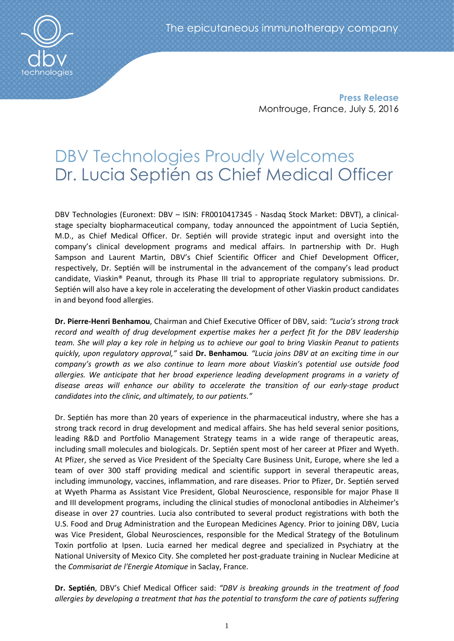

**Press Release** Montrouge, France, July 5, 2016

# DBV Technologies Proudly Welcomes Dr. Lucia Septién as Chief Medical Officer

DBV Technologies (Euronext: DBV – ISIN: FR0010417345 - Nasdaq Stock Market: DBVT), a clinicalstage specialty biopharmaceutical company, today announced the appointment of Lucia Septién, M.D., as Chief Medical Officer. Dr. Septién will provide strategic input and oversight into the company's clinical development programs and medical affairs. In partnership with Dr. Hugh Sampson and Laurent Martin, DBV's Chief Scientific Officer and Chief Development Officer, respectively, Dr. Septién will be instrumental in the advancement of the company's lead product candidate, Viaskin® Peanut, through its Phase III trial to appropriate regulatory submissions. Dr. Septién will also have a key role in accelerating the development of other Viaskin product candidates in and beyond food allergies.

**Dr. Pierre-Henri Benhamou**, Chairman and Chief Executive Officer of DBV, said: *"Lucia's strong track record and wealth of drug development expertise makes her a perfect fit for the DBV leadership team. She will play a key role in helping us to achieve our goal to bring Viaskin Peanut to patients quickly, upon regulatory approval,"* said **Dr. Benhamou***. "Lucia joins DBV at an exciting time in our company's growth as we also continue to learn more about Viaskin's potential use outside food allergies. We anticipate that her broad experience leading development programs in a variety of disease areas will enhance our ability to accelerate the transition of our early-stage product candidates into the clinic, and ultimately, to our patients."* 

Dr. Septién has more than 20 years of experience in the pharmaceutical industry, where she has a strong track record in drug development and medical affairs. She has held several senior positions, leading R&D and Portfolio Management Strategy teams in a wide range of therapeutic areas, including small molecules and biologicals. Dr. Septién spent most of her career at Pfizer and Wyeth. At Pfizer, she served as Vice President of the Specialty Care Business Unit, Europe, where she led a team of over 300 staff providing medical and scientific support in several therapeutic areas, including immunology, vaccines, inflammation, and rare diseases. Prior to Pfizer, Dr. Septién served at Wyeth Pharma as Assistant Vice President, Global Neuroscience, responsible for major Phase II and III development programs, including the clinical studies of monoclonal antibodies in Alzheimer's disease in over 27 countries. Lucia also contributed to several product registrations with both the U.S. Food and Drug Administration and the European Medicines Agency. Prior to joining DBV, Lucia was Vice President, Global Neurosciences, responsible for the Medical Strategy of the Botulinum Toxin portfolio at Ipsen. Lucia earned her medical degree and specialized in Psychiatry at the National University of Mexico City. She completed her post-graduate training in Nuclear Medicine at the *Commisariat de l'Energie Atomique* in Saclay, France.

**Dr. Septién**, DBV's Chief Medical Officer said: *"DBV is breaking grounds in the treatment of food allergies by developing a treatment that has the potential to transform the care of patients suffering*